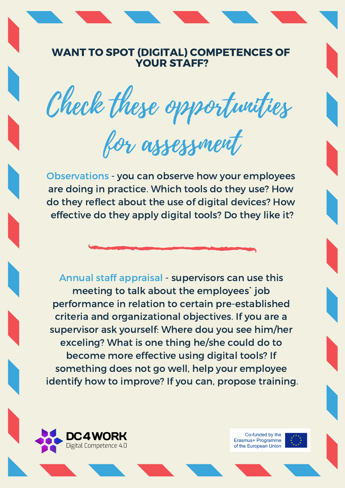## WANT TO SPOT (DIGITAL) COMPETENCES OF YOUR STAFF?

Check these opportunities

for assessment

Observations - you can observe how your employees are doing in practice. Which tools do they use? How do they reflect about the use of digital devices? How effective do they apply digital tools? Do they like it?

Annual staff appraisal - supervisors can use this meeting to talk about the employees` job performance in relation to certain pre-established criteria and organizational objectives. If you are a supervisor ask yourself: Where dou you see him/her exceling? What is one thing he/she could do to become more effective using digital tools? If something does not go well, help your employee identify how to improve? If you can, propose training.



Co-funded by the Erasmus+ Programme of the European Union